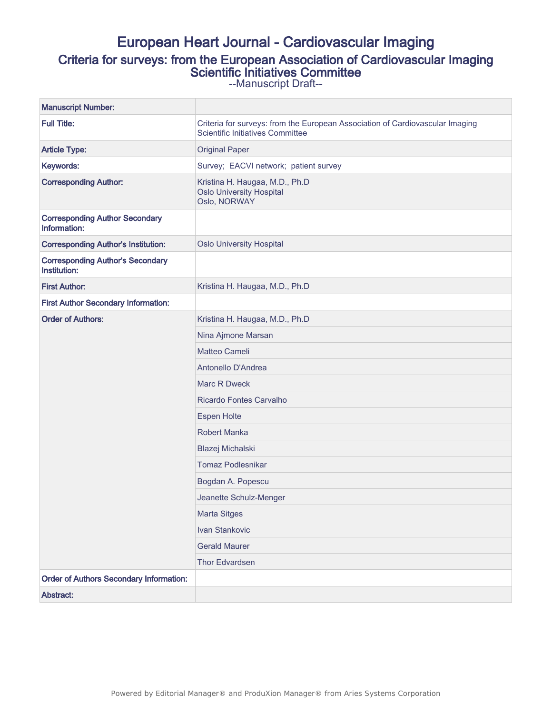# European Heart Journal - Cardiovascular Imaging Criteria for surveys: from the European Association of Cardiovascular Imaging Scientific Initiatives Committee

--Manuscript Draft--

| <b>Manuscript Number:</b>                               |                                                                                                                          |  |  |
|---------------------------------------------------------|--------------------------------------------------------------------------------------------------------------------------|--|--|
| <b>Full Title:</b>                                      | Criteria for surveys: from the European Association of Cardiovascular Imaging<br><b>Scientific Initiatives Committee</b> |  |  |
| <b>Article Type:</b>                                    | <b>Original Paper</b>                                                                                                    |  |  |
| Keywords:                                               | Survey; EACVI network; patient survey                                                                                    |  |  |
| <b>Corresponding Author:</b>                            | Kristina H. Haugaa, M.D., Ph.D<br><b>Oslo University Hospital</b><br>Oslo, NORWAY                                        |  |  |
| <b>Corresponding Author Secondary</b><br>Information:   |                                                                                                                          |  |  |
| <b>Corresponding Author's Institution:</b>              | <b>Oslo University Hospital</b>                                                                                          |  |  |
| <b>Corresponding Author's Secondary</b><br>Institution: |                                                                                                                          |  |  |
| <b>First Author:</b>                                    | Kristina H. Haugaa, M.D., Ph.D                                                                                           |  |  |
| <b>First Author Secondary Information:</b>              |                                                                                                                          |  |  |
| <b>Order of Authors:</b>                                | Kristina H. Haugaa, M.D., Ph.D                                                                                           |  |  |
|                                                         | Nina Ajmone Marsan                                                                                                       |  |  |
|                                                         | Matteo Cameli                                                                                                            |  |  |
|                                                         | Antonello D'Andrea                                                                                                       |  |  |
|                                                         | Marc R Dweck                                                                                                             |  |  |
|                                                         | Ricardo Fontes Carvalho                                                                                                  |  |  |
|                                                         | <b>Espen Holte</b>                                                                                                       |  |  |
|                                                         | <b>Robert Manka</b>                                                                                                      |  |  |
|                                                         | Blazej Michalski                                                                                                         |  |  |
|                                                         | <b>Tomaz Podlesnikar</b>                                                                                                 |  |  |
|                                                         | Bogdan A. Popescu                                                                                                        |  |  |
|                                                         | Jeanette Schulz-Menger                                                                                                   |  |  |
|                                                         | <b>Marta Sitges</b>                                                                                                      |  |  |
|                                                         | Ivan Stankovic                                                                                                           |  |  |
|                                                         | <b>Gerald Maurer</b>                                                                                                     |  |  |
|                                                         | Thor Edvardsen                                                                                                           |  |  |
| <b>Order of Authors Secondary Information:</b>          |                                                                                                                          |  |  |
| Abstract:                                               |                                                                                                                          |  |  |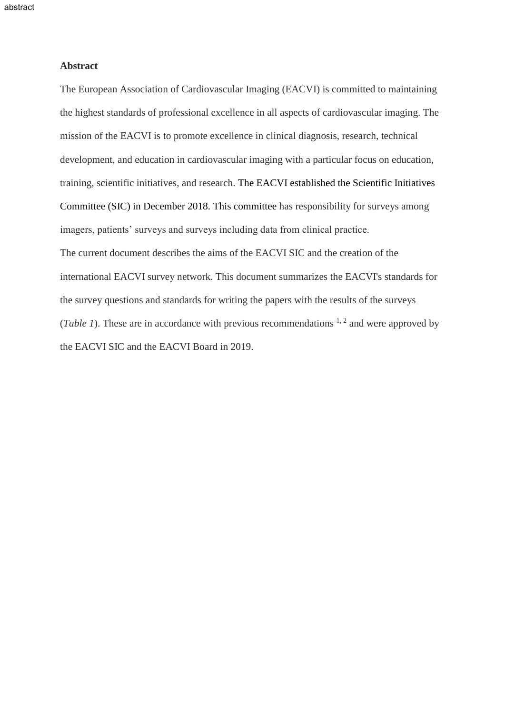## **Abstract**

The European Association of Cardiovascular Imaging (EACVI) is committed to maintaining the highest standards of professional excellence in all aspects of cardiovascular imaging. The mission of the EACVI is to promote excellence in clinical diagnosis, research, technical development, and education in cardiovascular imaging with a particular focus on education, training, scientific initiatives, and research. The EACVI established the Scientific Initiatives Committee (SIC) in December 2018. This committee has responsibility for surveys among imagers, patients' surveys and surveys including data from clinical practice. The current document describes the aims of the EACVI SIC and the creation of the international EACVI survey network. This document summarizes the EACVI's standards for the survey questions and standards for writing the papers with the results of the surveys (*Table 1*). These are in accordance with previous recommendations  $1, 2$  and were approved by the EACVI SIC and the EACVI Board in 2019.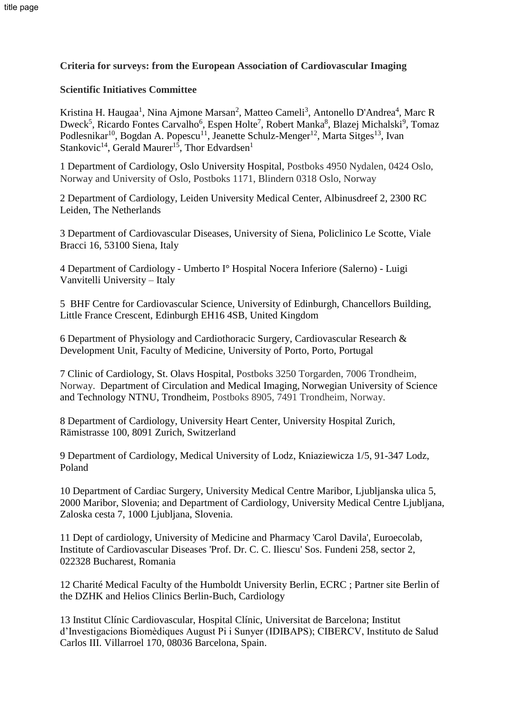# **Criteria for surveys: from the European Association of Cardiovascular Imaging**

# **Scientific Initiatives Committee**

Kristina H. Haugaa<sup>1</sup>, Nina Ajmone Marsan<sup>2</sup>, Matteo Cameli<sup>3</sup>, Antonello D'Andrea<sup>4</sup>, Marc R Dweck<sup>5</sup>, Ricardo Fontes Carvalho<sup>6</sup>, Espen Holte<sup>7</sup>, Robert Manka<sup>8</sup>, Blazej Michalski<sup>9</sup>, Tomaz Podlesnikar<sup>10</sup>, Bogdan A. Popescu<sup>11</sup>, Jeanette Schulz-Menger<sup>12</sup>, Marta Sitges<sup>13</sup>, Ivan Stankovic<sup>14</sup>, Gerald Maurer<sup>15</sup>, Thor Edvardsen<sup>1</sup>

1 Department of Cardiology, Oslo University Hospital, Postboks 4950 Nydalen, 0424 Oslo, Norway and University of Oslo, Postboks 1171, Blindern 0318 Oslo, Norway

2 Department of Cardiology, Leiden University Medical Center, Albinusdreef 2, 2300 RC Leiden, The Netherlands

3 Department of Cardiovascular Diseases, University of Siena, Policlinico Le Scotte, Viale Bracci 16, 53100 Siena, Italy

4 Department of Cardiology - Umberto I° Hospital Nocera Inferiore (Salerno) - Luigi Vanvitelli University – Italy

5 BHF Centre for Cardiovascular Science, University of Edinburgh, Chancellors Building, Little France Crescent, Edinburgh EH16 4SB, United Kingdom

6 Department of Physiology and Cardiothoracic Surgery, Cardiovascular Research & Development Unit, Faculty of Medicine, University of Porto, Porto, Portugal

7 Clinic of Cardiology, St. Olavs Hospital, Postboks 3250 Torgarden, 7006 Trondheim, Norway. Department of Circulation and Medical Imaging, Norwegian University of Science and Technology NTNU, Trondheim, Postboks 8905, 7491 Trondheim, Norway.

8 Department of Cardiology, University Heart Center, University Hospital Zurich, Rämistrasse 100, 8091 Zurich, Switzerland

9 Department of Cardiology, Medical University of Lodz, Kniaziewicza 1/5, 91-347 Lodz, Poland

10 Department of Cardiac Surgery, University Medical Centre Maribor, Ljubljanska ulica 5, 2000 Maribor, Slovenia; and Department of Cardiology, University Medical Centre Ljubljana, Zaloska cesta 7, 1000 Ljubljana, Slovenia.

11 Dept of cardiology, University of Medicine and Pharmacy 'Carol Davila', Euroecolab, Institute of Cardiovascular Diseases 'Prof. Dr. C. C. Iliescu' Sos. Fundeni 258, sector 2, 022328 Bucharest, Romania

12 Charité Medical Faculty of the Humboldt University Berlin, ECRC ; Partner site Berlin of the DZHK and Helios Clinics Berlin-Buch, Cardiology

13 Institut Clínic Cardiovascular, Hospital Clínic, Universitat de Barcelona; Institut d'Investigacions Biomèdiques August Pi i Sunyer (IDIBAPS); CIBERCV, Instituto de Salud Carlos III. Villarroel 170, 08036 Barcelona, Spain.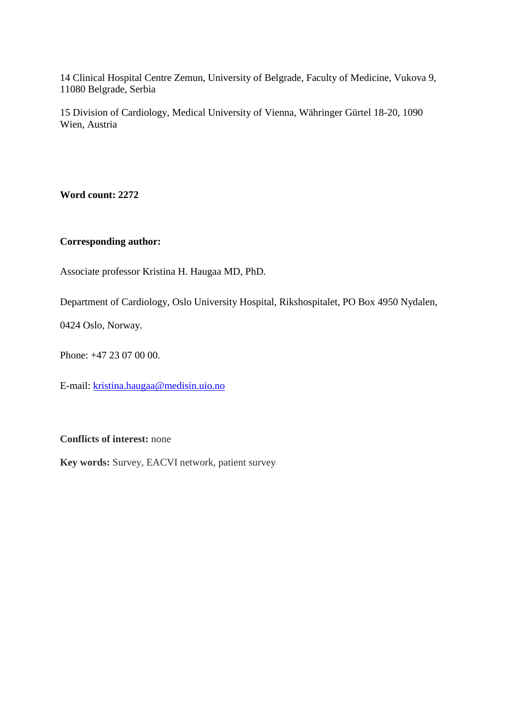14 Clinical Hospital Centre Zemun, University of Belgrade, Faculty of Medicine, Vukova 9, 11080 Belgrade, Serbia

15 Division of Cardiology, Medical University of Vienna, Währinger Gürtel 18-20, 1090 Wien, Austria

**Word count: 2272**

# **Corresponding author:**

Associate professor Kristina H. Haugaa MD, PhD.

Department of Cardiology, Oslo University Hospital, Rikshospitalet, PO Box 4950 Nydalen,

0424 Oslo, Norway.

Phone: +47 23 07 00 00.

E-mail: [kristina.haugaa@medisin.uio.no](mailto:kristina.haugaa@medisin.uio.no)

**Conflicts of interest:** none

**Key words:** Survey, EACVI network, patient survey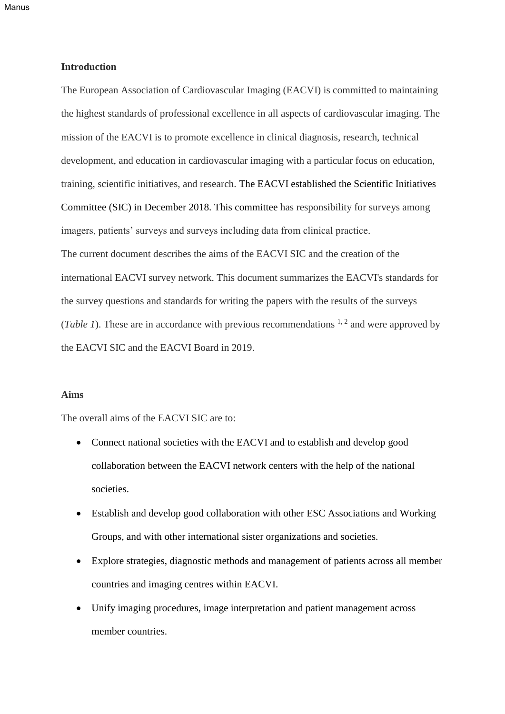Manus

## **Introduction**

The European Association of Cardiovascular Imaging (EACVI) is committed to maintaining the highest standards of professional excellence in all aspects of cardiovascular imaging. The mission of the EACVI is to promote excellence in clinical diagnosis, research, technical development, and education in cardiovascular imaging with a particular focus on education, training, scientific initiatives, and research. The EACVI established the Scientific Initiatives Committee (SIC) in December 2018. This committee has responsibility for surveys among imagers, patients' surveys and surveys including data from clinical practice. The current document describes the aims of the EACVI SIC and the creation of the international EACVI survey network. This document summarizes the EACVI's standards for the survey questions and standards for writing the papers with the results of the surveys (*Table 1*). These are in accordance with previous recommendations  $1, 2$  and were approved by the EACVI SIC and the EACVI Board in 2019.

# **Aims**

The overall aims of the EACVI SIC are to:

- Connect national societies with the EACVI and to establish and develop good collaboration between the EACVI network centers with the help of the national societies.
- Establish and develop good collaboration with other ESC Associations and Working Groups, and with other international sister organizations and societies.
- Explore strategies, diagnostic methods and management of patients across all member countries and imaging centres within EACVI.
- Unify imaging procedures, image interpretation and patient management across member countries.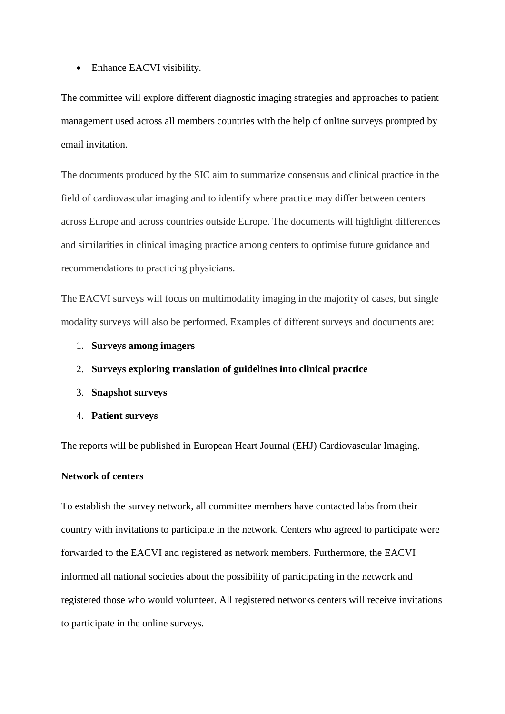• Enhance EACVI visibility.

The committee will explore different diagnostic imaging strategies and approaches to patient management used across all members countries with the help of online surveys prompted by email invitation.

The documents produced by the SIC aim to summarize consensus and clinical practice in the field of cardiovascular imaging and to identify where practice may differ between centers across Europe and across countries outside Europe. The documents will highlight differences and similarities in clinical imaging practice among centers to optimise future guidance and recommendations to practicing physicians.

The EACVI surveys will focus on multimodality imaging in the majority of cases, but single modality surveys will also be performed. Examples of different surveys and documents are:

- 1. **Surveys among imagers**
- 2. **Surveys exploring translation of guidelines into clinical practice**
- 3. **Snapshot surveys**
- 4. **Patient surveys**

The reports will be published in European Heart Journal (EHJ) Cardiovascular Imaging.

#### **Network of centers**

To establish the survey network, all committee members have contacted labs from their country with invitations to participate in the network. Centers who agreed to participate were forwarded to the EACVI and registered as network members. Furthermore, the EACVI informed all national societies about the possibility of participating in the network and registered those who would volunteer. All registered networks centers will receive invitations to participate in the online surveys.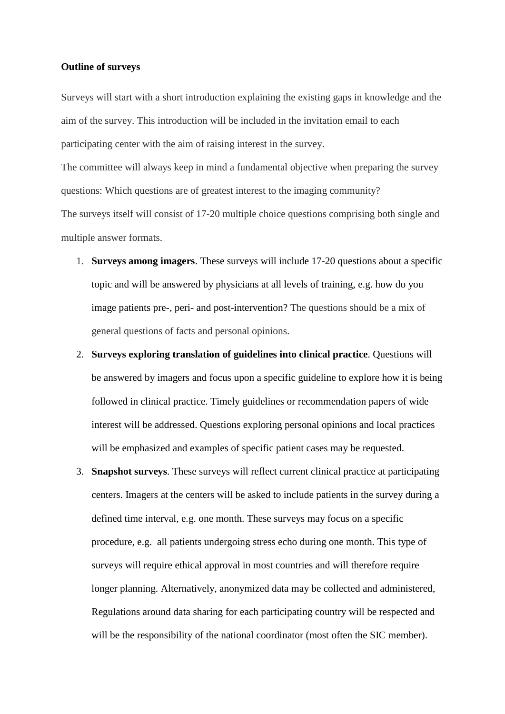#### **Outline of surveys**

Surveys will start with a short introduction explaining the existing gaps in knowledge and the aim of the survey. This introduction will be included in the invitation email to each participating center with the aim of raising interest in the survey. The committee will always keep in mind a fundamental objective when preparing the survey

questions: Which questions are of greatest interest to the imaging community?

The surveys itself will consist of 17-20 multiple choice questions comprising both single and multiple answer formats.

- 1. **Surveys among imagers**. These surveys will include 17-20 questions about a specific topic and will be answered by physicians at all levels of training, e.g. how do you image patients pre-, peri- and post-intervention? The questions should be a mix of general questions of facts and personal opinions.
- 2. **Surveys exploring translation of guidelines into clinical practice**. Questions will be answered by imagers and focus upon a specific guideline to explore how it is being followed in clinical practice. Timely guidelines or recommendation papers of wide interest will be addressed. Questions exploring personal opinions and local practices will be emphasized and examples of specific patient cases may be requested.
- 3. **Snapshot surveys**. These surveys will reflect current clinical practice at participating centers. Imagers at the centers will be asked to include patients in the survey during a defined time interval, e.g. one month. These surveys may focus on a specific procedure, e.g. all patients undergoing stress echo during one month. This type of surveys will require ethical approval in most countries and will therefore require longer planning. Alternatively, anonymized data may be collected and administered, Regulations around data sharing for each participating country will be respected and will be the responsibility of the national coordinator (most often the SIC member).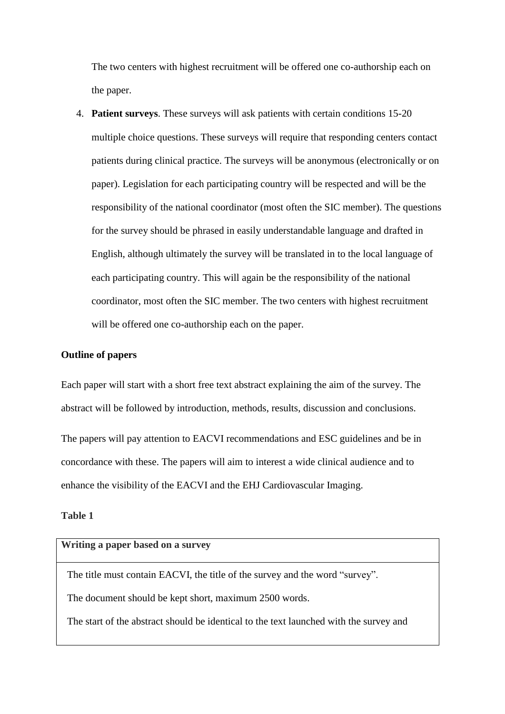The two centers with highest recruitment will be offered one co-authorship each on the paper.

4. **Patient surveys**. These surveys will ask patients with certain conditions 15-20 multiple choice questions. These surveys will require that responding centers contact patients during clinical practice. The surveys will be anonymous (electronically or on paper). Legislation for each participating country will be respected and will be the responsibility of the national coordinator (most often the SIC member). The questions for the survey should be phrased in easily understandable language and drafted in English, although ultimately the survey will be translated in to the local language of each participating country. This will again be the responsibility of the national coordinator, most often the SIC member. The two centers with highest recruitment will be offered one co-authorship each on the paper.

#### **Outline of papers**

Each paper will start with a short free text abstract explaining the aim of the survey. The abstract will be followed by introduction, methods, results, discussion and conclusions.

The papers will pay attention to EACVI recommendations and ESC guidelines and be in concordance with these. The papers will aim to interest a wide clinical audience and to enhance the visibility of the EACVI and the EHJ Cardiovascular Imaging.

# **Table 1**

# **Writing a paper based on a survey**

The title must contain EACVI, the title of the survey and the word "survey".

The document should be kept short, maximum 2500 words.

The start of the abstract should be identical to the text launched with the survey and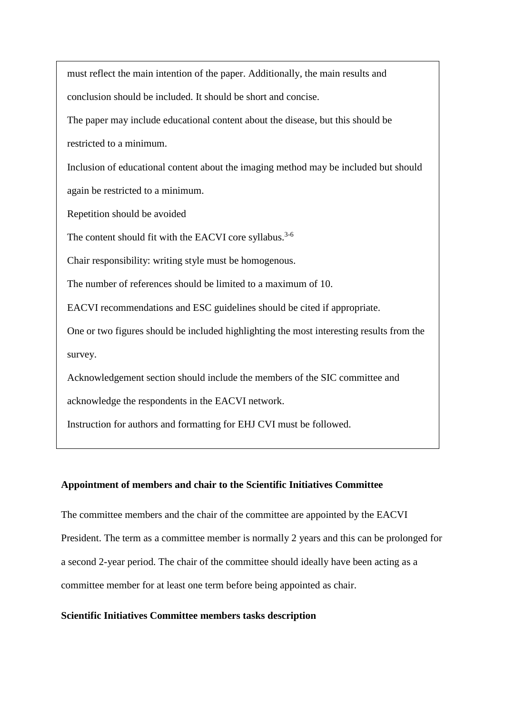must reflect the main intention of the paper. Additionally, the main results and conclusion should be included. It should be short and concise.

 The paper may include educational content about the disease, but this should be restricted to a minimum.

 Inclusion of educational content about the imaging method may be included but should again be restricted to a minimum.

Repetition should be avoided

The content should fit with the EACVI core syllabus.<sup>3-6</sup>

Chair responsibility: writing style must be homogenous.

The number of references should be limited to a maximum of 10.

EACVI recommendations and ESC guidelines should be cited if appropriate.

 One or two figures should be included highlighting the most interesting results from the survey.

Acknowledgement section should include the members of the SIC committee and

acknowledge the respondents in the EACVI network.

Instruction for authors and formatting for EHJ CVI must be followed.

#### **Appointment of members and chair to the Scientific Initiatives Committee**

The committee members and the chair of the committee are appointed by the EACVI President. The term as a committee member is normally 2 years and this can be prolonged for a second 2-year period. The chair of the committee should ideally have been acting as a committee member for at least one term before being appointed as chair.

#### **Scientific Initiatives Committee members tasks description**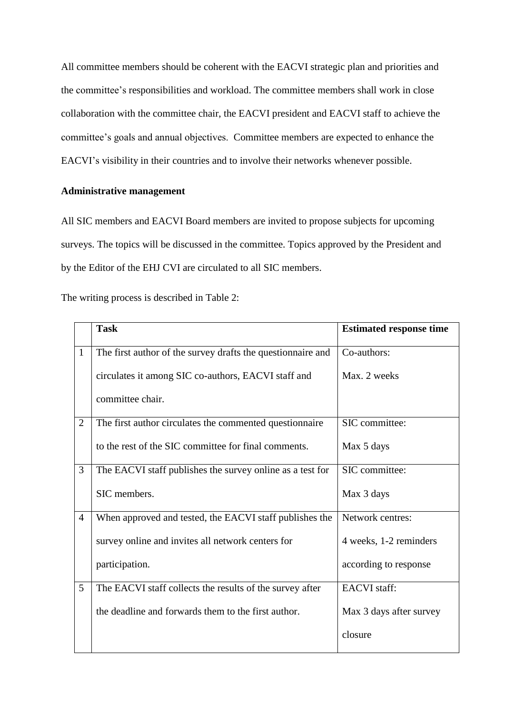All committee members should be coherent with the EACVI strategic plan and priorities and the committee's responsibilities and workload. The committee members shall work in close collaboration with the committee chair, the EACVI president and EACVI staff to achieve the committee's goals and annual objectives. Committee members are expected to enhance the EACVI's visibility in their countries and to involve their networks whenever possible.

## **Administrative management**

All SIC members and EACVI Board members are invited to propose subjects for upcoming surveys. The topics will be discussed in the committee. Topics approved by the President and by the Editor of the EHJ CVI are circulated to all SIC members.

The writing process is described in Table 2:

|                | <b>Task</b>                                                 | <b>Estimated response time</b> |
|----------------|-------------------------------------------------------------|--------------------------------|
| $\mathbf{1}$   | The first author of the survey drafts the questionnaire and | Co-authors:                    |
|                | circulates it among SIC co-authors, EACVI staff and         | Max. 2 weeks                   |
|                | committee chair.                                            |                                |
| $\overline{2}$ | The first author circulates the commented questionnaire     | SIC committee:                 |
|                | to the rest of the SIC committee for final comments.        | Max 5 days                     |
| 3              | The EACVI staff publishes the survey online as a test for   | SIC committee:                 |
|                | SIC members.                                                | Max 3 days                     |
| $\overline{4}$ | When approved and tested, the EACVI staff publishes the     | Network centres:               |
|                | survey online and invites all network centers for           | 4 weeks, 1-2 reminders         |
|                | participation.                                              | according to response          |
| 5              | The EACVI staff collects the results of the survey after    | <b>EACVI</b> staff:            |
|                | the deadline and forwards them to the first author.         | Max 3 days after survey        |
|                |                                                             | closure                        |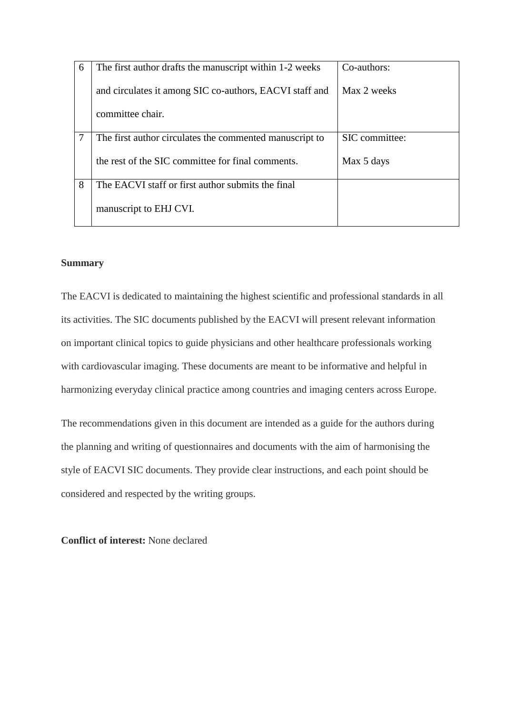| 6 | The first author drafts the manuscript within 1-2 weeks | Co-authors:    |
|---|---------------------------------------------------------|----------------|
|   | and circulates it among SIC co-authors, EACVI staff and | Max 2 weeks    |
|   | committee chair.                                        |                |
|   | The first author circulates the commented manuscript to | SIC committee: |
|   | the rest of the SIC committee for final comments.       | Max 5 days     |
| 8 | The EACVI staff or first author submits the final       |                |
|   | manuscript to EHJ CVI.                                  |                |

## **Summary**

The EACVI is dedicated to maintaining the highest scientific and professional standards in all its activities. The SIC documents published by the EACVI will present relevant information on important clinical topics to guide physicians and other healthcare professionals working with cardiovascular imaging. These documents are meant to be informative and helpful in harmonizing everyday clinical practice among countries and imaging centers across Europe.

The recommendations given in this document are intended as a guide for the authors during the planning and writing of questionnaires and documents with the aim of harmonising the style of EACVI SIC documents. They provide clear instructions, and each point should be considered and respected by the writing groups.

**Conflict of interest:** None declared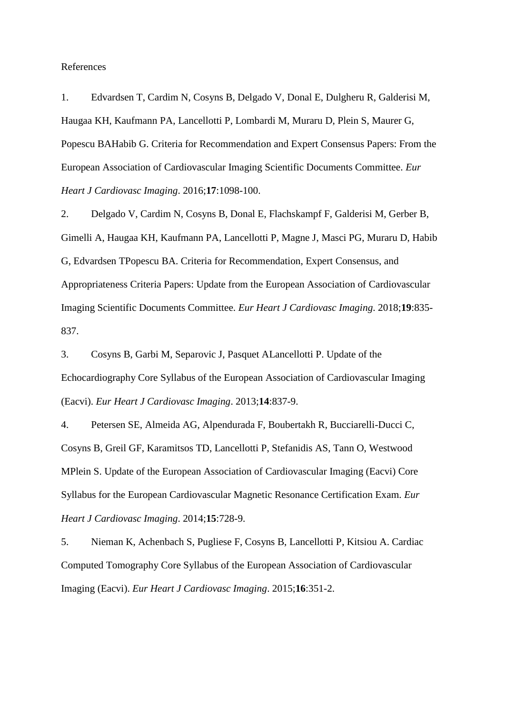#### References

1. Edvardsen T, Cardim N, Cosyns B, Delgado V, Donal E, Dulgheru R, Galderisi M, Haugaa KH, Kaufmann PA, Lancellotti P, Lombardi M, Muraru D, Plein S, Maurer G, Popescu BAHabib G. Criteria for Recommendation and Expert Consensus Papers: From the European Association of Cardiovascular Imaging Scientific Documents Committee. *Eur Heart J Cardiovasc Imaging*. 2016;**17**:1098-100.

2. Delgado V, Cardim N, Cosyns B, Donal E, Flachskampf F, Galderisi M, Gerber B, Gimelli A, Haugaa KH, Kaufmann PA, Lancellotti P, Magne J, Masci PG, Muraru D, Habib G, Edvardsen TPopescu BA. Criteria for Recommendation, Expert Consensus, and Appropriateness Criteria Papers: Update from the European Association of Cardiovascular Imaging Scientific Documents Committee. *Eur Heart J Cardiovasc Imaging*. 2018;**19**:835- 837.

3. Cosyns B, Garbi M, Separovic J, Pasquet ALancellotti P. Update of the Echocardiography Core Syllabus of the European Association of Cardiovascular Imaging (Eacvi). *Eur Heart J Cardiovasc Imaging*. 2013;**14**:837-9.

4. Petersen SE, Almeida AG, Alpendurada F, Boubertakh R, Bucciarelli-Ducci C, Cosyns B, Greil GF, Karamitsos TD, Lancellotti P, Stefanidis AS, Tann O, Westwood MPlein S. Update of the European Association of Cardiovascular Imaging (Eacvi) Core Syllabus for the European Cardiovascular Magnetic Resonance Certification Exam. *Eur Heart J Cardiovasc Imaging*. 2014;**15**:728-9.

5. Nieman K, Achenbach S, Pugliese F, Cosyns B, Lancellotti P, Kitsiou A. Cardiac Computed Tomography Core Syllabus of the European Association of Cardiovascular Imaging (Eacvi). *Eur Heart J Cardiovasc Imaging*. 2015;**16**:351-2.